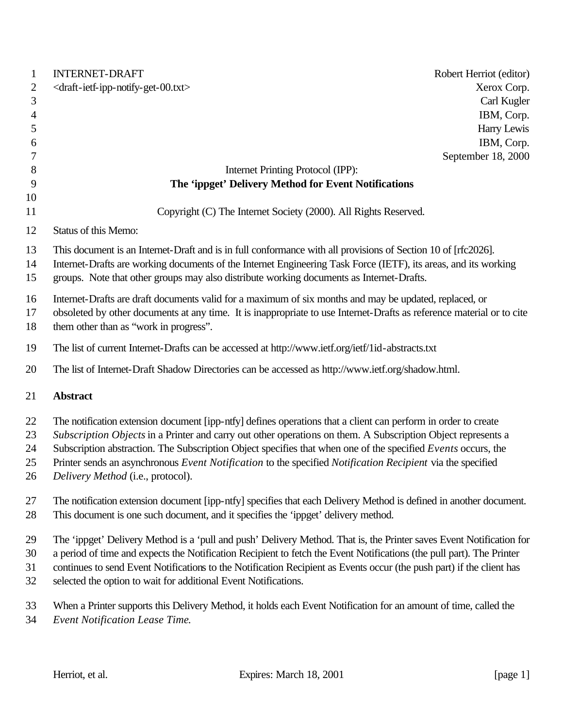| Xerox Corp.<br>Carl Kugler<br>IBM, Corp.<br>Harry Lewis<br>IBM, Corp.<br>September 18, 2000                                                                                                                                      |
|----------------------------------------------------------------------------------------------------------------------------------------------------------------------------------------------------------------------------------|
|                                                                                                                                                                                                                                  |
|                                                                                                                                                                                                                                  |
|                                                                                                                                                                                                                                  |
|                                                                                                                                                                                                                                  |
|                                                                                                                                                                                                                                  |
|                                                                                                                                                                                                                                  |
|                                                                                                                                                                                                                                  |
|                                                                                                                                                                                                                                  |
|                                                                                                                                                                                                                                  |
| Copyright (C) The Internet Society (2000). All Rights Reserved.                                                                                                                                                                  |
|                                                                                                                                                                                                                                  |
| This document is an Internet-Draft and is in full conformance with all provisions of Section 10 of [rfc2026].<br>Internet-Drafts are working documents of the Internet Engineering Task Force (IETF), its areas, and its working |
| groups. Note that other groups may also distribute working documents as Internet-Drafts.                                                                                                                                         |
| Internet-Drafts are draft documents valid for a maximum of six months and may be updated, replaced, or<br>obsoleted by other documents at any time. It is inappropriate to use Internet-Drafts as reference material or to cite  |
| The list of current Internet-Drafts can be accessed at http://www.ietf.org/ietf/1id-abstracts.txt                                                                                                                                |
| The list of Internet-Draft Shadow Directories can be accessed as http://www.ietf.org/shadow.html.                                                                                                                                |
|                                                                                                                                                                                                                                  |
| The notification extension document [ipp-ntfy] defines operations that a client can perform in order to create                                                                                                                   |
| Subscription Objects in a Printer and carry out other operations on them. A Subscription Object represents a                                                                                                                     |
| Subscription abstraction. The Subscription Object specifies that when one of the specified Events occurs, the                                                                                                                    |
| Printer sends an asynchronous Event Notification to the specified Notification Recipient via the specified                                                                                                                       |
|                                                                                                                                                                                                                                  |
| The notification extension document [ipp-ntfy] specifies that each Delivery Method is defined in another document.                                                                                                               |
|                                                                                                                                                                                                                                  |
| The 'ippget' Delivery Method is a 'pull and push' Delivery Method. That is, the Printer saves Event Notification for                                                                                                             |
| a period of time and expects the Notification Recipient to fetch the Event Notifications (the pull part). The Printer                                                                                                            |
| continues to send Event Notifications to the Notification Recipient as Events occur (the push part) if the client has                                                                                                            |
|                                                                                                                                                                                                                                  |
| When a Printer supports this Delivery Method, it holds each Event Notification for an amount of time, called the                                                                                                                 |
|                                                                                                                                                                                                                                  |
|                                                                                                                                                                                                                                  |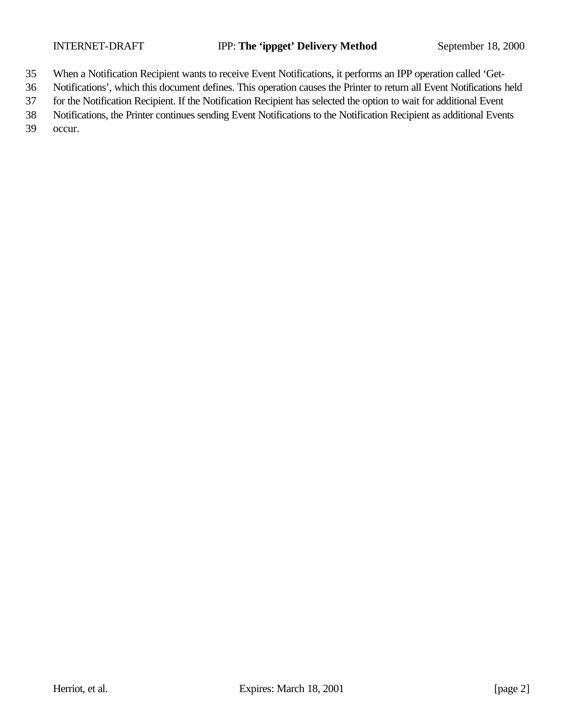- When a Notification Recipient wants to receive Event Notifications, it performs an IPP operation called 'Get-
- Notifications', which this document defines. This operation causes the Printer to return all Event Notifications held
- for the Notification Recipient. If the Notification Recipient has selected the option to wait for additional Event
- Notifications, the Printer continues sending Event Notifications to the Notification Recipient as additional Events

occur.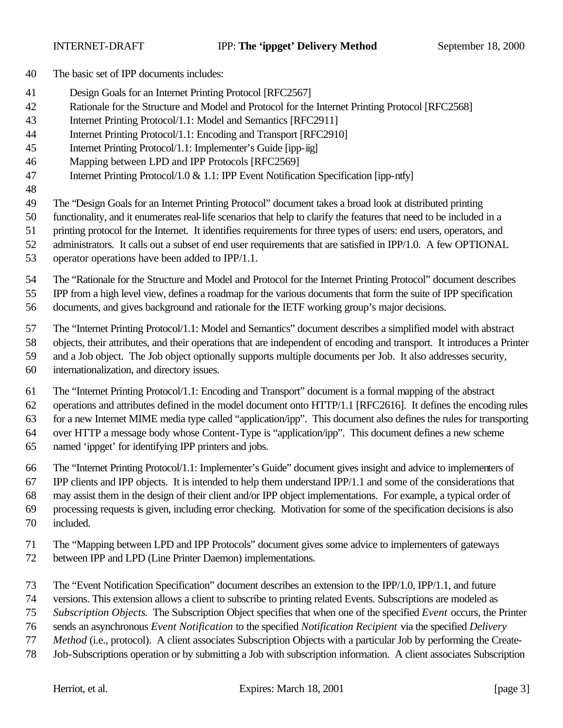- The basic set of IPP documents includes:
- Design Goals for an Internet Printing Protocol [RFC2567]
- Rationale for the Structure and Model and Protocol for the Internet Printing Protocol [RFC2568]
- Internet Printing Protocol/1.1: Model and Semantics [RFC2911]
- Internet Printing Protocol/1.1: Encoding and Transport [RFC2910]
- Internet Printing Protocol/1.1: Implementer's Guide [ipp-iig]
- Mapping between LPD and IPP Protocols [RFC2569]
- Internet Printing Protocol/1.0 & 1.1: IPP Event Notification Specification [ipp-ntfy]
- 

The "Design Goals for an Internet Printing Protocol" document takes a broad look at distributed printing

functionality, and it enumerates real-life scenarios that help to clarify the features that need to be included in a

- printing protocol for the Internet. It identifies requirements for three types of users: end users, operators, and
- administrators. It calls out a subset of end user requirements that are satisfied in IPP/1.0. A few OPTIONAL
- operator operations have been added to IPP/1.1.

The "Rationale for the Structure and Model and Protocol for the Internet Printing Protocol" document describes

IPP from a high level view, defines a roadmap for the various documents that form the suite of IPP specification

documents, and gives background and rationale for the IETF working group's major decisions.

The "Internet Printing Protocol/1.1: Model and Semantics" document describes a simplified model with abstract

objects, their attributes, and their operations that are independent of encoding and transport. It introduces a Printer

- and a Job object. The Job object optionally supports multiple documents per Job. It also addresses security,
- internationalization, and directory issues.

The "Internet Printing Protocol/1.1: Encoding and Transport" document is a formal mapping of the abstract

operations and attributes defined in the model document onto HTTP/1.1 [RFC2616]. It defines the encoding rules

for a new Internet MIME media type called "application/ipp". This document also defines the rules for transporting

over HTTP a message body whose Content-Type is "application/ipp". This document defines a new scheme

named 'ippget' for identifying IPP printers and jobs.

The "Internet Printing Protocol/1.1: Implementer's Guide" document gives insight and advice to implementers of

IPP clients and IPP objects. It is intended to help them understand IPP/1.1 and some of the considerations that

may assist them in the design of their client and/or IPP object implementations. For example, a typical order of

processing requests is given, including error checking. Motivation for some of the specification decisions is also

- included.
- The "Mapping between LPD and IPP Protocols" document gives some advice to implementers of gateways
- between IPP and LPD (Line Printer Daemon) implementations.
- The "Event Notification Specification" document describes an extension to the IPP/1.0, IPP/1.1, and future
- versions. This extension allows a client to subscribe to printing related Events. Subscriptions are modeled as
- *Subscription Objects*. The Subscription Object specifies that when one of the specified *Event* occurs, the Printer
- sends an asynchronous *Event Notification* to the specified *Notification Recipient* via the specified *Delivery*
- *Method* (i.e., protocol). A client associates Subscription Objects with a particular Job by performing the Create-
- Job-Subscriptions operation or by submitting a Job with subscription information. A client associates Subscription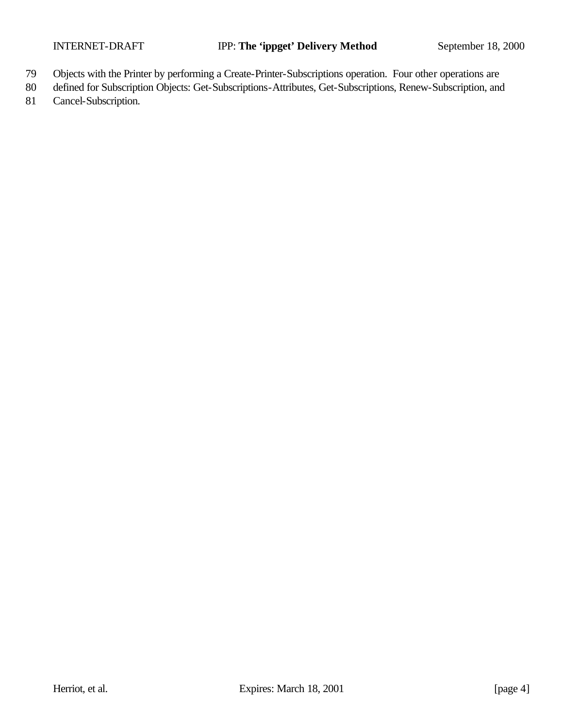- 79 Objects with the Printer by performing a Create-Printer-Subscriptions operation. Four other operations are
- 80 defined for Subscription Objects: Get-Subscriptions-Attributes, Get-Subscriptions, Renew-Subscription, and
- 81 Cancel-Subscription.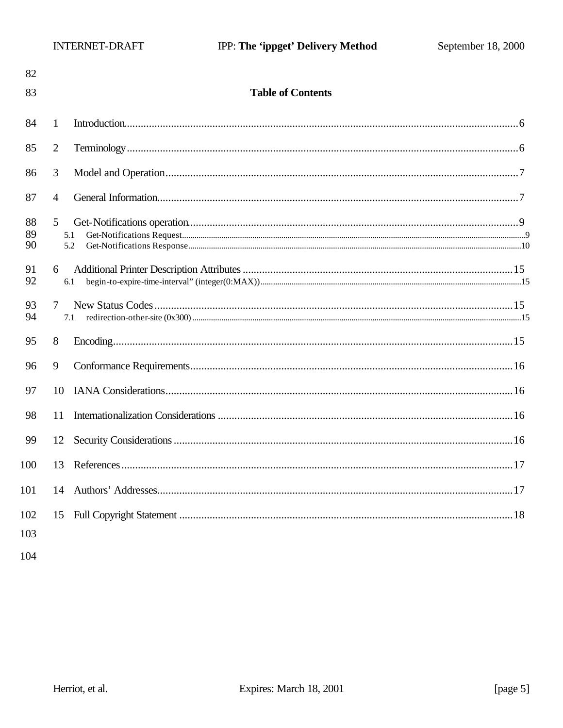| 82             |                          |  |
|----------------|--------------------------|--|
| 83             | <b>Table of Contents</b> |  |
| 84             | 1                        |  |
| 85             | $\overline{2}$           |  |
| 86             | 3                        |  |
| 87             | $\overline{4}$           |  |
| 88<br>89<br>90 | 5<br>5.1<br>5.2          |  |
| 91<br>92       | 6<br>6.1                 |  |
| 93<br>94       | $\tau$<br>7.1            |  |
| 95             | 8                        |  |
| 96             | 9                        |  |
| 97             | 10                       |  |
| 98             | 11                       |  |
| 99             | 12                       |  |
| 100            | 13                       |  |
| 101            | 14                       |  |
| 102            |                          |  |
| 103            |                          |  |
| 104            |                          |  |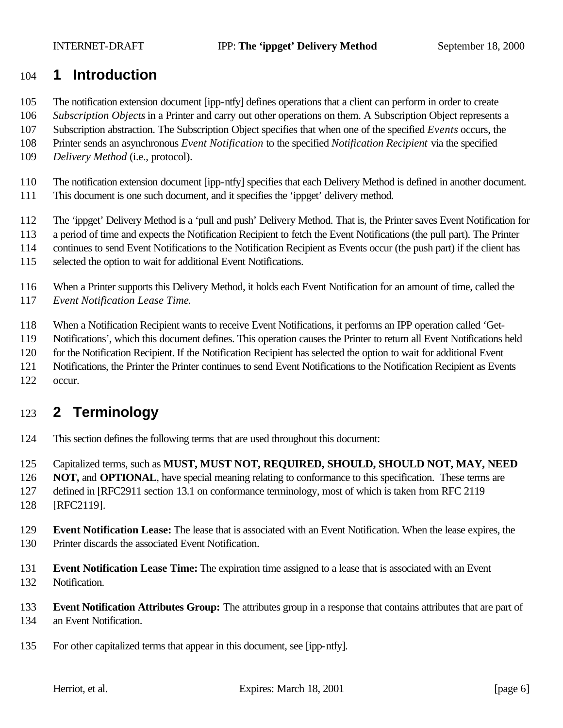## **1 Introduction**

- The notification extension document [ipp-ntfy] defines operations that a client can perform in order to create
- *Subscription Objects* in a Printer and carry out other operations on them. A Subscription Object represents a
- Subscription abstraction. The Subscription Object specifies that when one of the specified *Events* occurs, the
- Printer sends an asynchronous *Event Notification* to the specified *Notification Recipient* via the specified
- *Delivery Method* (i.e., protocol).
- The notification extension document [ipp-ntfy] specifies that each Delivery Method is defined in another document.
- This document is one such document, and it specifies the 'ippget' delivery method.
- The 'ippget' Delivery Method is a 'pull and push' Delivery Method. That is, the Printer saves Event Notification for
- a period of time and expects the Notification Recipient to fetch the Event Notifications (the pull part). The Printer
- continues to send Event Notifications to the Notification Recipient as Events occur (the push part) if the client has
- selected the option to wait for additional Event Notifications.
- When a Printer supports this Delivery Method, it holds each Event Notification for an amount of time, called the *Event Notification Lease Time*.
- When a Notification Recipient wants to receive Event Notifications, it performs an IPP operation called 'Get-
- Notifications', which this document defines. This operation causes the Printer to return all Event Notifications held
- for the Notification Recipient. If the Notification Recipient has selected the option to wait for additional Event
- Notifications, the Printer the Printer continues to send Event Notifications to the Notification Recipient as Events
- occur.

# **2 Terminology**

- This section defines the following terms that are used throughout this document:
- Capitalized terms, such as **MUST, MUST NOT, REQUIRED, SHOULD, SHOULD NOT, MAY, NEED**
- **NOT, and OPTIONAL**, have special meaning relating to conformance to this specification. These terms are
- defined in [RFC2911 section 13.1 on conformance terminology, most of which is taken from RFC 2119
- [RFC2119].
- **Event Notification Lease:** The lease that is associated with an Event Notification. When the lease expires, the Printer discards the associated Event Notification.
- **Event Notification Lease Time:** The expiration time assigned to a lease that is associated with an Event Notification.
- **Event Notification Attributes Group:** The attributes group in a response that contains attributes that are part of an Event Notification.
- For other capitalized terms that appear in this document, see [ipp-ntfy].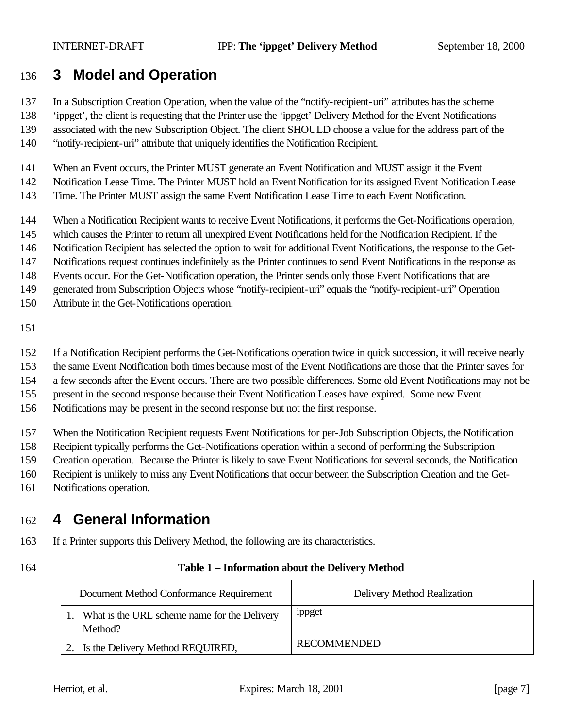# **3 Model and Operation**

In a Subscription Creation Operation, when the value of the "notify-recipient-uri" attributes has the scheme

'ippget', the client is requesting that the Printer use the 'ippget' Delivery Method for the Event Notifications

associated with the new Subscription Object. The client SHOULD choose a value for the address part of the

"notify-recipient-uri" attribute that uniquely identifies the Notification Recipient.

When an Event occurs, the Printer MUST generate an Event Notification and MUST assign it the Event

Notification Lease Time. The Printer MUST hold an Event Notification for its assigned Event Notification Lease

Time. The Printer MUST assign the same Event Notification Lease Time to each Event Notification.

When a Notification Recipient wants to receive Event Notifications, it performs the Get-Notifications operation,

which causes the Printer to return all unexpired Event Notifications held for the Notification Recipient. If the

Notification Recipient has selected the option to wait for additional Event Notifications, the response to the Get-

Notifications request continues indefinitely as the Printer continues to send Event Notifications in the response as

Events occur. For the Get-Notification operation, the Printer sends only those Event Notifications that are

generated from Subscription Objects whose "notify-recipient-uri" equals the "notify-recipient-uri" Operation

Attribute in the Get-Notifications operation.

If a Notification Recipient performs the Get-Notifications operation twice in quick succession, it will receive nearly

the same Event Notification both times because most of the Event Notifications are those that the Printer saves for

a few seconds after the Event occurs. There are two possible differences. Some old Event Notifications may not be

present in the second response because their Event Notification Leases have expired. Some new Event

Notifications may be present in the second response but not the first response.

When the Notification Recipient requests Event Notifications for per-Job Subscription Objects, the Notification

Recipient typically performs the Get-Notifications operation within a second of performing the Subscription

Creation operation. Because the Printer is likely to save Event Notifications for several seconds, the Notification

Recipient is unlikely to miss any Event Notifications that occur between the Subscription Creation and the Get-

Notifications operation.

# **4 General Information**

If a Printer supports this Delivery Method, the following are its characteristics.

#### **Table 1 – Information about the Delivery Method**

| Document Method Conformance Requirement                 | Delivery Method Realization |
|---------------------------------------------------------|-----------------------------|
| What is the URL scheme name for the Delivery<br>Method? | ippget                      |
| 2. Is the Delivery Method REQUIRED,                     | <b>RECOMMENDED</b>          |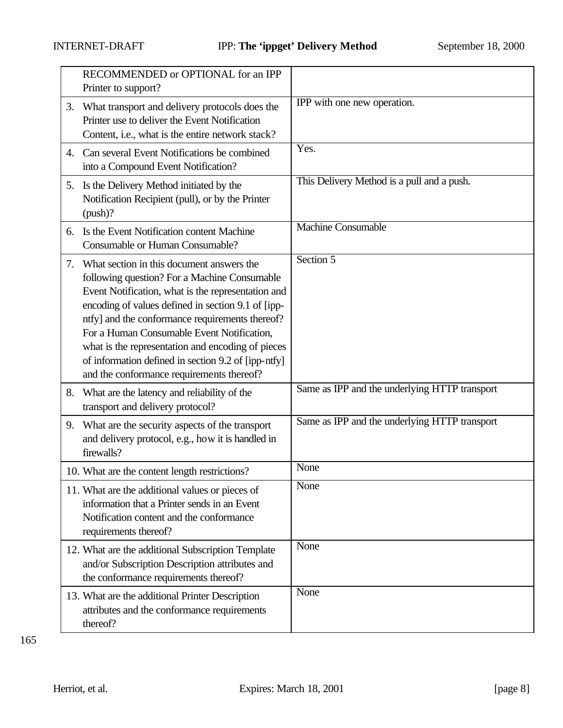|    | RECOMMENDED or OPTIONAL for an IPP<br>Printer to support?                                                                                                                                                                                                                                                                                                                                                                                                       |                                               |
|----|-----------------------------------------------------------------------------------------------------------------------------------------------------------------------------------------------------------------------------------------------------------------------------------------------------------------------------------------------------------------------------------------------------------------------------------------------------------------|-----------------------------------------------|
| 3. | What transport and delivery protocols does the<br>Printer use to deliver the Event Notification<br>Content, i.e., what is the entire network stack?                                                                                                                                                                                                                                                                                                             | IPP with one new operation.                   |
|    | 4. Can several Event Notifications be combined<br>into a Compound Event Notification?                                                                                                                                                                                                                                                                                                                                                                           | Yes.                                          |
|    | 5. Is the Delivery Method initiated by the<br>Notification Recipient (pull), or by the Printer<br>(push)?                                                                                                                                                                                                                                                                                                                                                       | This Delivery Method is a pull and a push.    |
| 6. | Is the Event Notification content Machine<br>Consumable or Human Consumable?                                                                                                                                                                                                                                                                                                                                                                                    | <b>Machine Consumable</b>                     |
| 7. | What section in this document answers the<br>following question? For a Machine Consumable<br>Event Notification, what is the representation and<br>encoding of values defined in section 9.1 of [ipp-<br>ntfy] and the conformance requirements thereof?<br>For a Human Consumable Event Notification,<br>what is the representation and encoding of pieces<br>of information defined in section 9.2 of [ipp-ntfy]<br>and the conformance requirements thereof? | Section 5                                     |
| 8. | What are the latency and reliability of the<br>transport and delivery protocol?                                                                                                                                                                                                                                                                                                                                                                                 | Same as IPP and the underlying HTTP transport |
| 9. | What are the security aspects of the transport<br>and delivery protocol, e.g., how it is handled in<br>firewalls?                                                                                                                                                                                                                                                                                                                                               | Same as IPP and the underlying HTTP transport |
|    | 10. What are the content length restrictions?                                                                                                                                                                                                                                                                                                                                                                                                                   | None                                          |
|    | 11. What are the additional values or pieces of<br>information that a Printer sends in an Event<br>Notification content and the conformance<br>requirements thereof?                                                                                                                                                                                                                                                                                            | None                                          |
|    | 12. What are the additional Subscription Template<br>and/or Subscription Description attributes and<br>the conformance requirements thereof?                                                                                                                                                                                                                                                                                                                    | None                                          |
|    | 13. What are the additional Printer Description<br>attributes and the conformance requirements<br>thereof?                                                                                                                                                                                                                                                                                                                                                      | None                                          |

165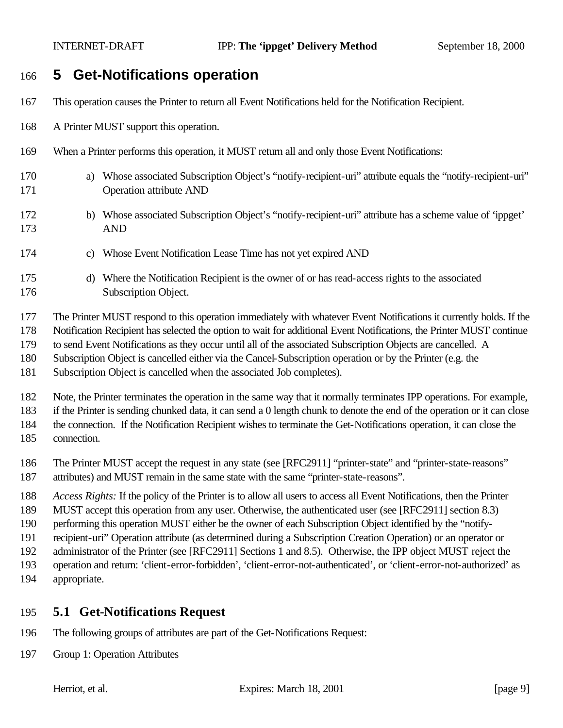## **5 Get-Notifications operation**

- This operation causes the Printer to return all Event Notifications held for the Notification Recipient.
- A Printer MUST support this operation.
- When a Printer performs this operation, it MUST return all and only those Event Notifications:
- a) Whose associated Subscription Object's "notify-recipient-uri" attribute equals the "notify-recipient-uri" Operation attribute AND
- b) Whose associated Subscription Object's "notify-recipient-uri" attribute has a scheme value of 'ippget' AND
- c) Whose Event Notification Lease Time has not yet expired AND
- d) Where the Notification Recipient is the owner of or has read-access rights to the associated Subscription Object.

The Printer MUST respond to this operation immediately with whatever Event Notifications it currently holds. If the

Notification Recipient has selected the option to wait for additional Event Notifications, the Printer MUST continue

to send Event Notifications as they occur until all of the associated Subscription Objects are cancelled. A

Subscription Object is cancelled either via the Cancel-Subscription operation or by the Printer (e.g. the

Subscription Object is cancelled when the associated Job completes).

Note, the Printer terminates the operation in the same way that it normally terminates IPP operations. For example,

if the Printer is sending chunked data, it can send a 0 length chunk to denote the end of the operation or it can close

the connection. If the Notification Recipient wishes to terminate the Get-Notifications operation, it can close the

connection.

186 The Printer MUST accept the request in any state (see [RFC2911] "printer-state" and "printer-state-reasons" attributes) and MUST remain in the same state with the same "printer-state-reasons".

*Access Rights:* If the policy of the Printer is to allow all users to access all Event Notifications, then the Printer

MUST accept this operation from any user. Otherwise, the authenticated user (see [RFC2911] section 8.3)

performing this operation MUST either be the owner of each Subscription Object identified by the "notify-

recipient-uri" Operation attribute (as determined during a Subscription Creation Operation) or an operator or

administrator of the Printer (see [RFC2911] Sections 1 and 8.5). Otherwise, the IPP object MUST reject the

operation and return: 'client-error-forbidden', 'client-error-not-authenticated', or 'client-error-not-authorized' as

appropriate.

#### **5.1 Get-Notifications Request**

- The following groups of attributes are part of the Get-Notifications Request:
- Group 1: Operation Attributes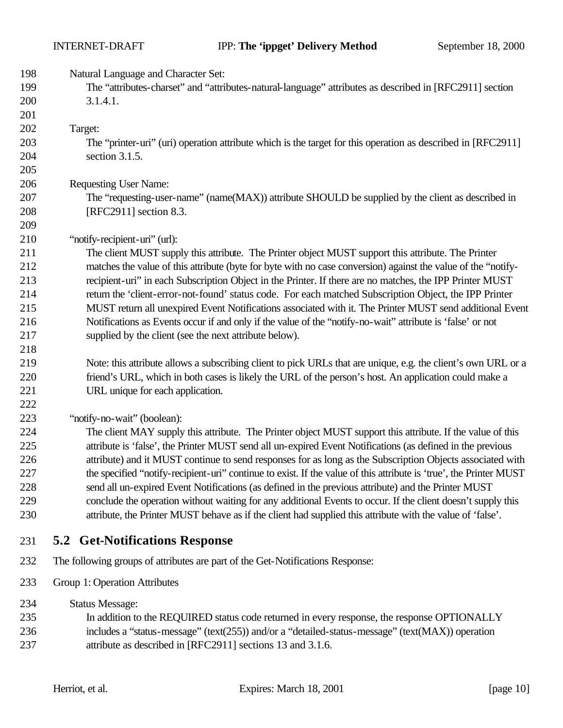Natural Language and Character Set:

 The "attributes-charset" and "attributes-natural-language" attributes as described in [RFC2911] section 3.1.4.1.

Target:

 The "printer-uri" (uri) operation attribute which is the target for this operation as described in [RFC2911] section 3.1.5.

Requesting User Name:

 The "requesting-user-name" (name(MAX)) attribute SHOULD be supplied by the client as described in [RFC2911] section 8.3.

#### "notify-recipient-uri" (url):

 The client MUST supply this attribute. The Printer object MUST support this attribute. The Printer matches the value of this attribute (byte for byte with no case conversion) against the value of the "notify- recipient-uri" in each Subscription Object in the Printer. If there are no matches, the IPP Printer MUST return the 'client-error-not-found' status code. For each matched Subscription Object, the IPP Printer MUST return all unexpired Event Notifications associated with it. The Printer MUST send additional Event Notifications as Events occur if and only if the value of the "notify-no-wait" attribute is 'false' or not supplied by the client (see the next attribute below).

#### 

- Note: this attribute allows a subscribing client to pick URLs that are unique, e.g. the client's own URL or a friend's URL, which in both cases is likely the URL of the person's host. An application could make a 221 URL unique for each application.
- "notify-no-wait" (boolean):

 The client MAY supply this attribute. The Printer object MUST support this attribute. If the value of this attribute is 'false', the Printer MUST send all un-expired Event Notifications (as defined in the previous attribute) and it MUST continue to send responses for as long as the Subscription Objects associated with 227 the specified "notify-recipient-uri" continue to exist. If the value of this attribute is 'true', the Printer MUST send all un-expired Event Notifications (as defined in the previous attribute) and the Printer MUST conclude the operation without waiting for any additional Events to occur. If the client doesn't supply this attribute, the Printer MUST behave as if the client had supplied this attribute with the value of 'false'.

#### **5.2 Get-Notifications Response**

- The following groups of attributes are part of the Get-Notifications Response:
- Group 1: Operation Attributes
- Status Message:
- In addition to the REQUIRED status code returned in every response, the response OPTIONALLY includes a "status-message" (text(255)) and/or a "detailed-status-message" (text(MAX)) operation 237 attribute as described in [RFC2911] sections 13 and 3.1.6.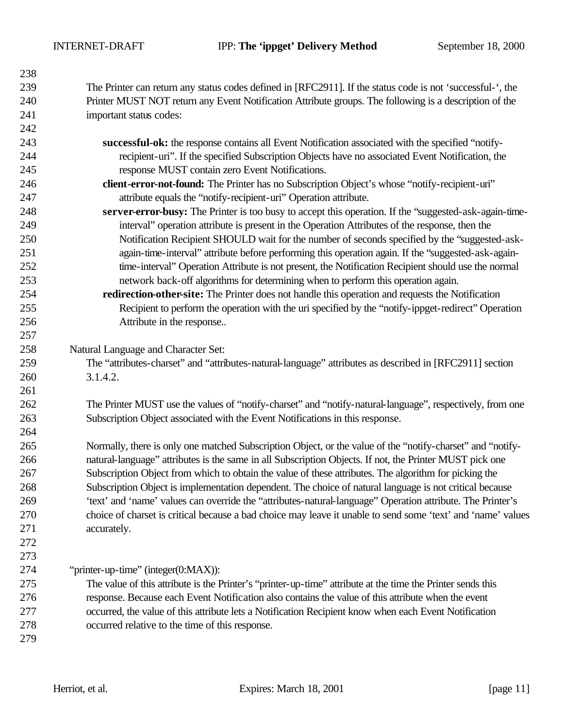The Printer can return any status codes defined in [RFC2911]. If the status code is not 'successful-', the Printer MUST NOT return any Event Notification Attribute groups. The following is a description of the important status codes:

- **successful-ok:** the response contains all Event Notification associated with the specified "notify- recipient-uri". If the specified Subscription Objects have no associated Event Notification, the response MUST contain zero Event Notifications.
- **client-error-not-found:** The Printer has no Subscription Object's whose "notify-recipient-uri" attribute equals the "notify-recipient-uri" Operation attribute.
- **server-error-busy:** The Printer is too busy to accept this operation. If the "suggested-ask-again-time- interval" operation attribute is present in the Operation Attributes of the response, then the Notification Recipient SHOULD wait for the number of seconds specified by the "suggested-ask- again-time-interval" attribute before performing this operation again. If the "suggested-ask-again- time-interval" Operation Attribute is not present, the Notification Recipient should use the normal network back-off algorithms for determining when to perform this operation again.
- **redirection-other-site:** The Printer does not handle this operation and requests the Notification Recipient to perform the operation with the uri specified by the "notify-ippget-redirect" Operation Attribute in the response..

Natural Language and Character Set:

 The "attributes-charset" and "attributes-natural-language" attributes as described in [RFC2911] section 3.1.4.2.

 The Printer MUST use the values of "notify-charset" and "notify-natural-language", respectively, from one Subscription Object associated with the Event Notifications in this response.

 Normally, there is only one matched Subscription Object, or the value of the "notify-charset" and "notify- natural-language" attributes is the same in all Subscription Objects. If not, the Printer MUST pick one Subscription Object from which to obtain the value of these attributes. The algorithm for picking the Subscription Object is implementation dependent. The choice of natural language is not critical because 'text' and 'name' values can override the "attributes-natural-language" Operation attribute. The Printer's choice of charset is critical because a bad choice may leave it unable to send some 'text' and 'name' values accurately.

 "printer-up-time" (integer(0:MAX)):

 The value of this attribute is the Printer's "printer-up-time" attribute at the time the Printer sends this response. Because each Event Notification also contains the value of this attribute when the event occurred, the value of this attribute lets a Notification Recipient know when each Event Notification occurred relative to the time of this response.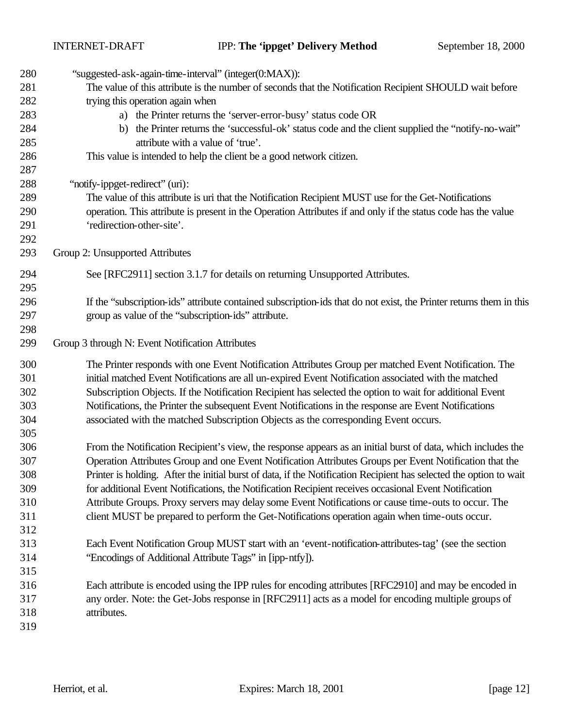| 280 | "suggested-ask-again-time-interval" (integer(0:MAX)):                                                              |
|-----|--------------------------------------------------------------------------------------------------------------------|
| 281 | The value of this attribute is the number of seconds that the Notification Recipient SHOULD wait before            |
| 282 | trying this operation again when                                                                                   |
| 283 | a) the Printer returns the 'server-error-busy' status code OR                                                      |
| 284 | the Printer returns the 'successful-ok' status code and the client supplied the "notify-no-wait"<br>b)             |
| 285 | attribute with a value of 'true'.                                                                                  |
| 286 | This value is intended to help the client be a good network citizen.                                               |
| 287 |                                                                                                                    |
| 288 | "notify-ippget-redirect" (uri):                                                                                    |
| 289 | The value of this attribute is uri that the Notification Recipient MUST use for the Get-Notifications              |
| 290 | operation. This attribute is present in the Operation Attributes if and only if the status code has the value      |
| 291 | 'redirection-other-site'.                                                                                          |
| 292 |                                                                                                                    |
| 293 | Group 2: Unsupported Attributes                                                                                    |
| 294 | See [RFC2911] section 3.1.7 for details on returning Unsupported Attributes.                                       |
| 295 |                                                                                                                    |
| 296 | If the "subscription-ids" attribute contained subscription-ids that do not exist, the Printer returns them in this |
| 297 | group as value of the "subscription-ids" attribute.                                                                |
| 298 |                                                                                                                    |
| 299 | Group 3 through N: Event Notification Attributes                                                                   |
| 300 | The Printer responds with one Event Notification Attributes Group per matched Event Notification. The              |
| 301 | initial matched Event Notifications are all un-expired Event Notification associated with the matched              |
| 302 | Subscription Objects. If the Notification Recipient has selected the option to wait for additional Event           |
| 303 | Notifications, the Printer the subsequent Event Notifications in the response are Event Notifications              |
| 304 | associated with the matched Subscription Objects as the corresponding Event occurs.                                |
| 305 |                                                                                                                    |
| 306 | From the Notification Recipient's view, the response appears as an initial burst of data, which includes the       |
| 307 | Operation Attributes Group and one Event Notification Attributes Groups per Event Notification that the            |
| 308 | Printer is holding. After the initial burst of data, if the Notification Recipient has selected the option to wait |
| 309 | for additional Event Notifications, the Notification Recipient receives occasional Event Notification              |
| 310 | Attribute Groups. Proxy servers may delay some Event Notifications or cause time-outs to occur. The                |
| 311 | client MUST be prepared to perform the Get-Notifications operation again when time-outs occur.                     |
| 312 |                                                                                                                    |
| 313 | Each Event Notification Group MUST start with an 'event-notification-attributes-tag' (see the section              |
| 314 | "Encodings of Additional Attribute Tags" in [ipp-ntfy]).                                                           |
| 315 |                                                                                                                    |
| 316 | Each attribute is encoded using the IPP rules for encoding attributes [RFC2910] and may be encoded in              |
| 317 | any order. Note: the Get-Jobs response in [RFC2911] acts as a model for encoding multiple groups of                |
|     |                                                                                                                    |
| 318 | attributes.                                                                                                        |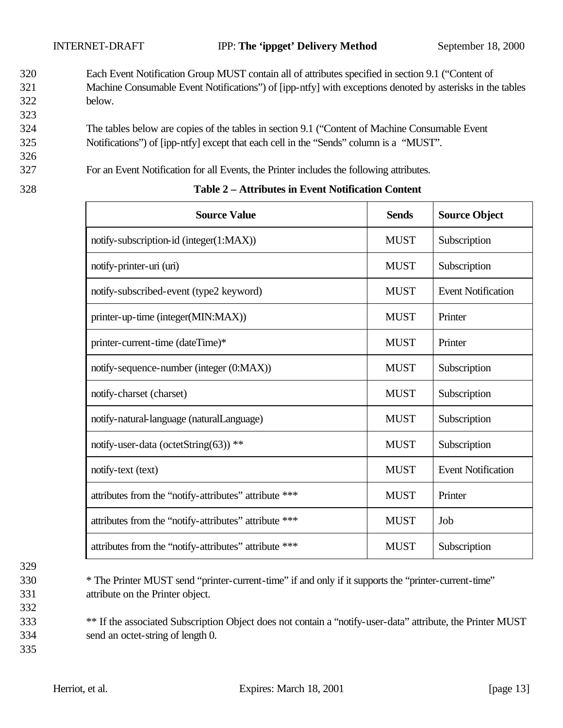- 320 Each Event Notification Group MUST contain all of attributes specified in section 9.1 ("Content of 321 Machine Consumable Event Notifications") of [ipp-ntfy] with exceptions denoted by asterisks in the tables 322 below.
- 324 The tables below are copies of the tables in section 9.1 ("Content of Machine Consumable Event 325 Notifications") of [ipp-ntfy] except that each cell in the "Sends" column is a "MUST".
- 327 For an Event Notification for all Events, the Printer includes the following attributes.
- 

323

326

#### 328 **Table 2 – Attributes in Event Notification Content**

| <b>Source Value</b>                                   | <b>Sends</b> | <b>Source Object</b>      |
|-------------------------------------------------------|--------------|---------------------------|
| notify-subscription-id (integer(1:MAX))               | <b>MUST</b>  | Subscription              |
| notify-printer-uri (uri)                              | <b>MUST</b>  | Subscription              |
| notify-subscribed-event (type2 keyword)               | <b>MUST</b>  | <b>Event Notification</b> |
| printer-up-time (integer(MIN:MAX))                    | <b>MUST</b>  | Printer                   |
| printer-current-time (dateTime)*                      | <b>MUST</b>  | Printer                   |
| notify-sequence-number (integer (0:MAX))              | <b>MUST</b>  | Subscription              |
| notify-charset (charset)                              | <b>MUST</b>  | Subscription              |
| notify-natural-language (naturalLanguage)             | <b>MUST</b>  | Subscription              |
| notify-user-data (octetString(63)) **                 | <b>MUST</b>  | Subscription              |
| notify-text (text)                                    | <b>MUST</b>  | <b>Event Notification</b> |
| attributes from the "notify-attributes" attribute *** | <b>MUST</b>  | Printer                   |
| attributes from the "notify-attributes" attribute *** | <b>MUST</b>  | Job                       |
| attributes from the "notify-attributes" attribute *** | <b>MUST</b>  | Subscription              |

335

330 \* The Printer MUST send "printer-current-time" if and only if it supports the "printer-current-time" 331 attribute on the Printer object.

333 \*\* If the associated Subscription Object does not contain a "notify-user-data" attribute, the Printer MUST 334 send an octet-string of length 0.

<sup>329</sup> 332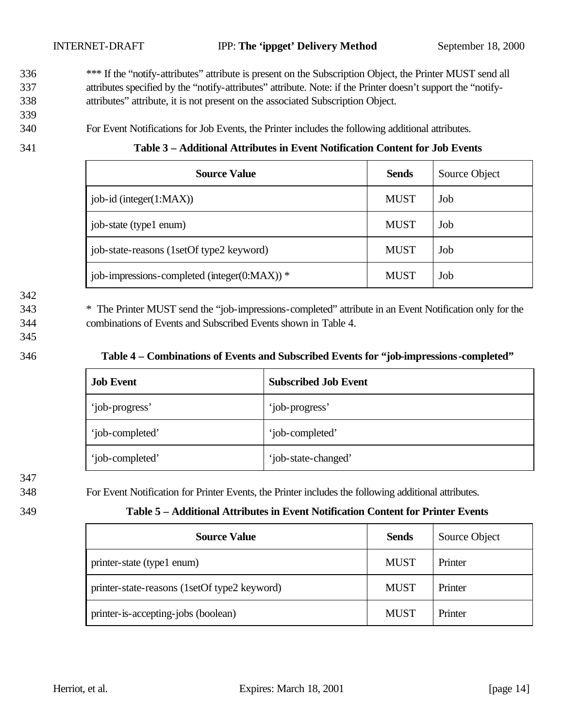<sup>\*\*\*</sup> If the "notify-attributes" attribute is present on the Subscription Object, the Printer MUST send all 337 attributes specified by the "notify-attributes" attribute. Note: if the Printer doesn't support the "notify-338 attributes" attribute, it is not present on the associated Subscription Object.

339

340 For Event Notifications for Job Events, the Printer includes the following additional attributes.

341 **Table 3 – Additional Attributes in Event Notification Content for Job Events** 

| <b>Source Value</b>                              | <b>Sends</b> | Source Object |
|--------------------------------------------------|--------------|---------------|
| $\vert$ job-id (integer(1:MAX))                  | <b>MUST</b>  | Job           |
| job-state (type1 enum)                           | <b>MUST</b>  | Job           |
| job-state-reasons (1setOf type2 keyword)         | <b>MUST</b>  | Job           |
| job-impressions-completed (integer( $0:MAX$ )) * | <b>MUST</b>  | Job           |

342

343 \* The Printer MUST send the "job-impressions-completed" attribute in an Event Notification only for the 344 combinations of Events and Subscribed Events shown in Table 4.

345

#### 346 **Table 4 – Combinations of Events and Subscribed Events for "job-impressions-completed"**

| <b>Job Event</b> | <b>Subscribed Job Event</b> |
|------------------|-----------------------------|
| 'job-progress'   | 'job-progress'              |
| 'job-completed'  | 'job-completed'             |
| 'job-completed'  | 'job-state-changed'         |

347

348 For Event Notification for Printer Events, the Printer includes the following additional attributes.

#### 349 **Table 5 – Additional Attributes in Event Notification Content for Printer Events**

| <b>Source Value</b>                          | <b>Sends</b> | Source Object |
|----------------------------------------------|--------------|---------------|
| printer-state (type1 enum)                   | <b>MUST</b>  | Printer       |
| printer-state-reasons (1setOf type2 keyword) | <b>MUST</b>  | Printer       |
| printer-is-accepting-jobs (boolean)          | <b>MUST</b>  | Printer       |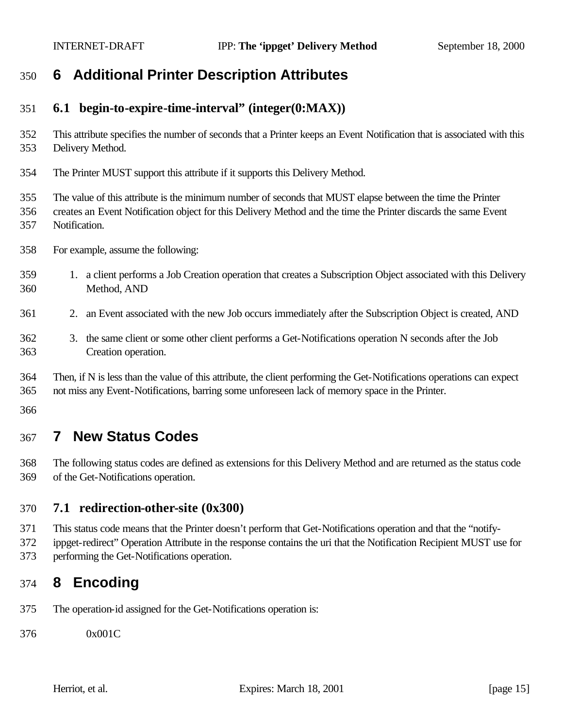# **6 Additional Printer Description Attributes**

#### **6.1 begin-to-expire-time-interval" (integer(0:MAX))**

 This attribute specifies the number of seconds that a Printer keeps an Event Notification that is associated with this Delivery Method.

The Printer MUST support this attribute if it supports this Delivery Method.

The value of this attribute is the minimum number of seconds that MUST elapse between the time the Printer

- creates an Event Notification object for this Delivery Method and the time the Printer discards the same Event
- Notification.
- For example, assume the following:
- 1. a client performs a Job Creation operation that creates a Subscription Object associated with this Delivery Method, AND
- 2. an Event associated with the new Job occurs immediately after the Subscription Object is created, AND
- 3. the same client or some other client performs a Get-Notifications operation N seconds after the Job Creation operation.
- Then, if N is less than the value of this attribute, the client performing the Get-Notifications operations can expect not miss any Event-Notifications, barring some unforeseen lack of memory space in the Printer.

# **7 New Status Codes**

 The following status codes are defined as extensions for this Delivery Method and are returned as the status code of the Get-Notifications operation.

#### **7.1 redirection-other-site (0x300)**

This status code means that the Printer doesn't perform that Get-Notifications operation and that the "notify-

 ippget-redirect" Operation Attribute in the response contains the uri that the Notification Recipient MUST use for performing the Get-Notifications operation.

# **8 Encoding**

The operation-id assigned for the Get-Notifications operation is:

0x001C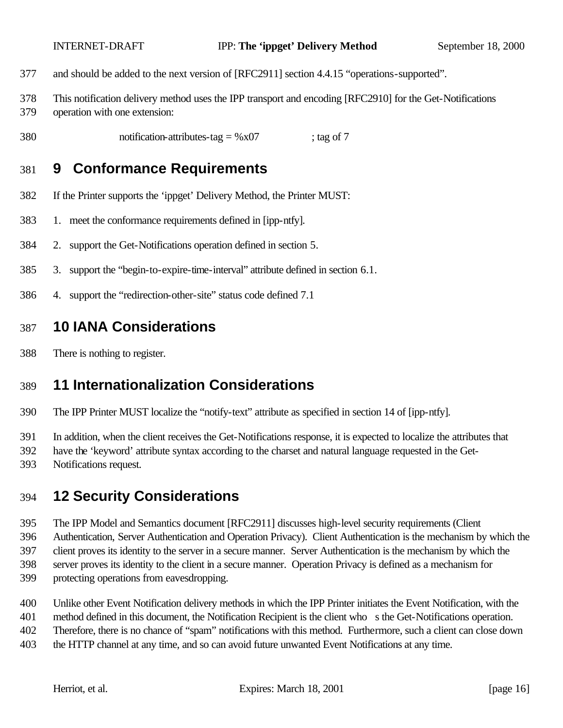- and should be added to the next version of [RFC2911] section 4.4.15 "operations-supported".
- This notification delivery method uses the IPP transport and encoding [RFC2910] for the Get-Notifications operation with one extension:
- 380 notification-attributes-tag =  $\%x07$  ; tag of 7

## **9 Conformance Requirements**

- If the Printer supports the 'ippget' Delivery Method, the Printer MUST:
- 1. meet the conformance requirements defined in [ipp-ntfy].
- 2. support the Get-Notifications operation defined in section 5.
- 3. support the "begin-to-expire-time-interval" attribute defined in section 6.1.
- 4. support the "redirection-other-site" status code defined 7.1

#### **10 IANA Considerations**

There is nothing to register.

## **11 Internationalization Considerations**

The IPP Printer MUST localize the "notify-text" attribute as specified in section 14 of [ipp-ntfy].

In addition, when the client receives the Get-Notifications response, it is expected to localize the attributes that

- have the 'keyword' attribute syntax according to the charset and natural language requested in the Get-
- Notifications request.

## **12 Security Considerations**

- The IPP Model and Semantics document [RFC2911] discusses high-level security requirements (Client Authentication, Server Authentication and Operation Privacy). Client Authentication is the mechanism by which the client proves its identity to the server in a secure manner. Server Authentication is the mechanism by which the server proves its identity to the client in a secure manner. Operation Privacy is defined as a mechanism for protecting operations from eavesdropping.
- Unlike other Event Notification delivery methods in which the IPP Printer initiates the Event Notification, with the
- method defined in this document, the Notification Recipient is the client who s the Get-Notifications operation.
- Therefore, there is no chance of "spam" notifications with this method. Furthermore, such a client can close down
- the HTTP channel at any time, and so can avoid future unwanted Event Notifications at any time.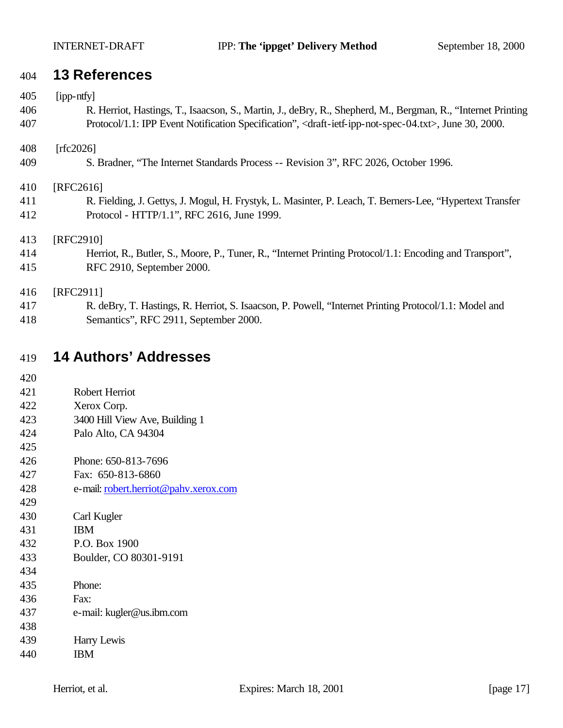## **13 References**

| 405 | [ipp-ntfy]                                                                                                                             |
|-----|----------------------------------------------------------------------------------------------------------------------------------------|
| 406 | R. Herriot, Hastings, T., Isaacson, S., Martin, J., deBry, R., Shepherd, M., Bergman, R., "Internet Printing                           |
| 407 | Protocol/1.1: IPP Event Notification Specification", <draft-ietf-ipp-not-spec-04.txt>, June 30, 2000.</draft-ietf-ipp-not-spec-04.txt> |
| 408 | [rfc2026]                                                                                                                              |
| 409 | S. Bradner, "The Internet Standards Process -- Revision 3", RFC 2026, October 1996.                                                    |
| 410 | [RFC2616]                                                                                                                              |
| 411 | R. Fielding, J. Gettys, J. Mogul, H. Frystyk, L. Masinter, P. Leach, T. Berners-Lee, "Hypertext Transfer"                              |
| 412 | Protocol - HTTP/1.1", RFC 2616, June 1999.                                                                                             |
| 413 | [RFC2910]                                                                                                                              |
| 414 | Herriot, R., Butler, S., Moore, P., Tuner, R., "Internet Printing Protocol/1.1: Encoding and Transport",                               |
| 415 | RFC 2910, September 2000.                                                                                                              |
| 416 | [RFC2911]                                                                                                                              |
| 417 | R. deBry, T. Hastings, R. Herriot, S. Isaacson, P. Powell, "Internet Printing Protocol/1.1: Model and                                  |
| 418 | Semantics", RFC 2911, September 2000.                                                                                                  |

# **14 Authors' Addresses**

| 420 |                                       |
|-----|---------------------------------------|
| 421 | Robert Herriot                        |
| 422 | Xerox Corp.                           |
| 423 | 3400 Hill View Ave, Building 1        |
| 424 | Palo Alto, CA 94304                   |
| 425 |                                       |
| 426 | Phone: 650-813-7696                   |
| 427 | Fax: 650-813-6860                     |
| 428 | e-mail: robert.herriot@pahv.xerox.com |
| 429 |                                       |
| 430 | Carl Kugler                           |
| 431 | <b>IBM</b>                            |
| 432 | P.O. Box 1900                         |
| 433 | Boulder, CO 80301-9191                |
| 434 |                                       |
| 435 | Phone:                                |
| 436 | Fax:                                  |
| 437 | e-mail: kugler@us.ibm.com             |
| 438 |                                       |
| 439 | Harry Lewis                           |
| 440 | ΙBΜ                                   |